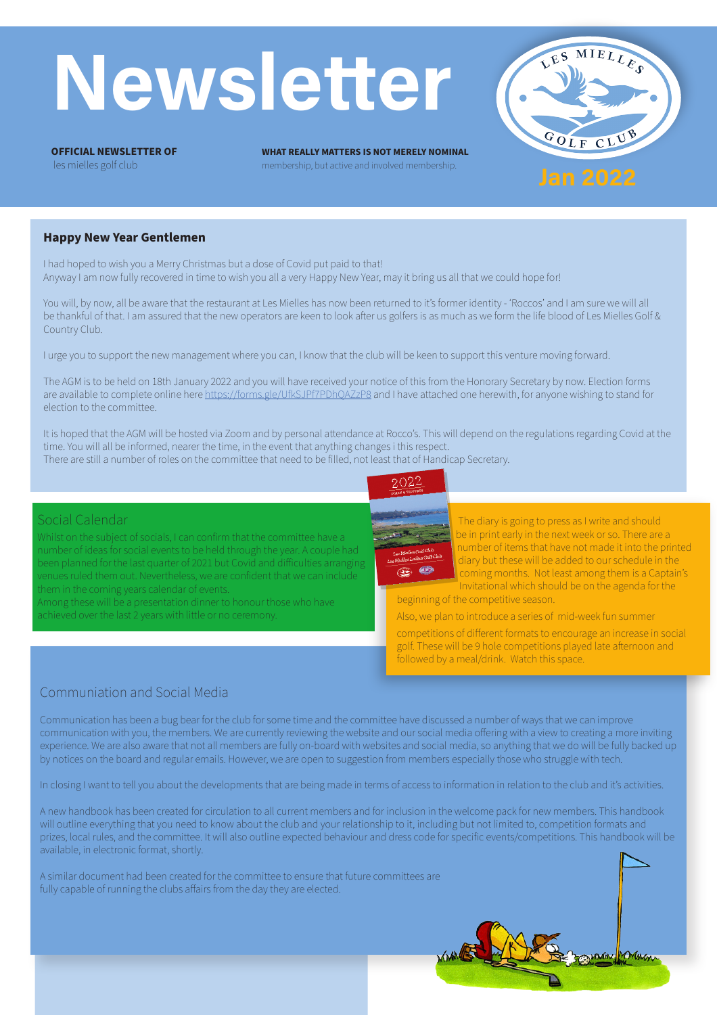# **Newsletter**

**OFFICIAL NEWSLETTER OF** les mielles golf club

**WHAT REALLY MATTERS IS NOT MERELY NOMINAL** membership, but active and involved membership.



#### **Happy New Year Gentlemen**

I had hoped to wish you a Merry Christmas but a dose of Covid put paid to that! Anyway I am now fully recovered in time to wish you all a very Happy New Year, may it bring us all that we could hope for!

You will, by now, all be aware that the restaurant at Les Mielles has now been returned to it's former identity - 'Roccos' and I am sure we will all be thankful of that. I am assured that the new operators are keen to look after us golfers is as much as we form the life blood of Les Mielles Golf & Country Club.

I urge you to support the new management where you can, I know that the club will be keen to support this venture moving forward.

The AGM is to be held on 18th January 2022 and you will have received your notice of this from the Honorary Secretary by now. Election forms are available to complete online here<https://forms.gle/UfkSJPf7PDhQAZzP8> and I have attached one herewith, for anyone wishing to stand for election to the committee.

It is hoped that the AGM will be hosted via Zoom and by personal attendance at Rocco's. This will depend on the regulations regarding Covid at the time. You will all be informed, nearer the time, in the event that anything changes i this respect.

There are still a number of roles on the committee that need to be filled, not least that of Handicap Secretary.

#### Social Calendar

Whilst on the subject of socials, I can confirm that the committee have a number of ideas for social events to be held through the year. A couple had been planned for the last quarter of 2021 but Covid and difficulties arranging venues ruled them out. Nevertheless, we are confident that we can include them in the coming years calendar of events.

Among these will be a presentation dinner to honour those who have achieved over the last 2 years with little or no ceremony.





The diary is going to press as I write and should be in print early in the next week or so. There are a number of items that have not made it into the printed diary but these will be added to our schedule in the coming months. Not least among them is a Captain's Invitational which should be on the agenda for the

Control Montron

beginning of the competitive season.

Also, we plan to introduce a series of mid-week fun summer

competitions of different formats to encourage an increase in social golf. These will be 9 hole competitions played late afternoon and followed by a meal/drink. Watch this space.

### Communiation and Social Media

Communication has been a bug bear for the club for some time and the committee have discussed a number of ways that we can improve communication with you, the members. We are currently reviewing the website and our social media offering with a view to creating a more inviting experience. We are also aware that not all members are fully on-board with websites and social media, so anything that we do will be fully backed up by notices on the board and regular emails. However, we are open to suggestion from members especially those who struggle with tech.

In closing I want to tell you about the developments that are being made in terms of access to information in relation to the club and it's activities.

A new handbook has been created for circulation to all current members and for inclusion in the welcome pack for new members. This handbook will outline everything that you need to know about the club and your relationship to it, including but not limited to, competition formats and prizes, local rules, and the committee. It will also outline expected behaviour and dress code for specific events/competitions. This handbook will be available, in electronic format, shortly.

A similar document had been created for the committee to ensure that future committees are fully capable of running the clubs affairs from the day they are elected.